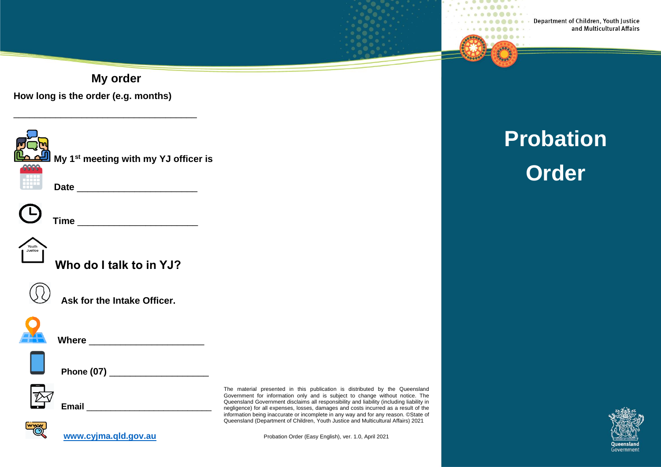Department of Children, Youth Justice and Multicultural Affairs

. . . .

**My order**

**How long is the order (e.g. months)**

\_\_\_\_\_\_\_\_\_\_\_\_\_\_\_\_\_\_\_\_\_\_\_\_\_\_\_\_\_\_\_\_\_\_\_



**My 1st meeting with my YJ officer is**

**Date** \_\_\_\_\_\_\_\_\_\_\_\_\_\_\_\_\_\_\_\_\_\_\_

**Time** \_\_\_\_\_\_\_\_\_\_\_\_\_\_\_\_\_\_\_\_\_\_\_



**Who do I talk to in YJ?**



**Ask for the Intake Officer.**



 **Where** \_\_\_\_\_\_\_\_\_\_\_\_\_\_\_\_\_\_\_\_\_\_



**Phone (07) \_\_\_\_\_\_\_\_\_\_\_\_\_\_\_\_\_** 

**[www.cyjma.qld.gov.au](http://www.cyjma.qld.gov.au/)**

**Email Email** 

The material presented in this publication is distributed by the Queensland Government for information only and is subject to change without notice. The Queensland Government disclaims all responsibility and liability (including liability in negligence) for all expenses, losses, damages and costs incurred as a result of the information being inaccurate or incomplete in any way and for any reason. ©State of Queensland (Department of Children, Youth Justice and Multicultural Affairs) 2021

Probation Order (Easy English), ver. 1.0, April 2021

# **Probation Order**